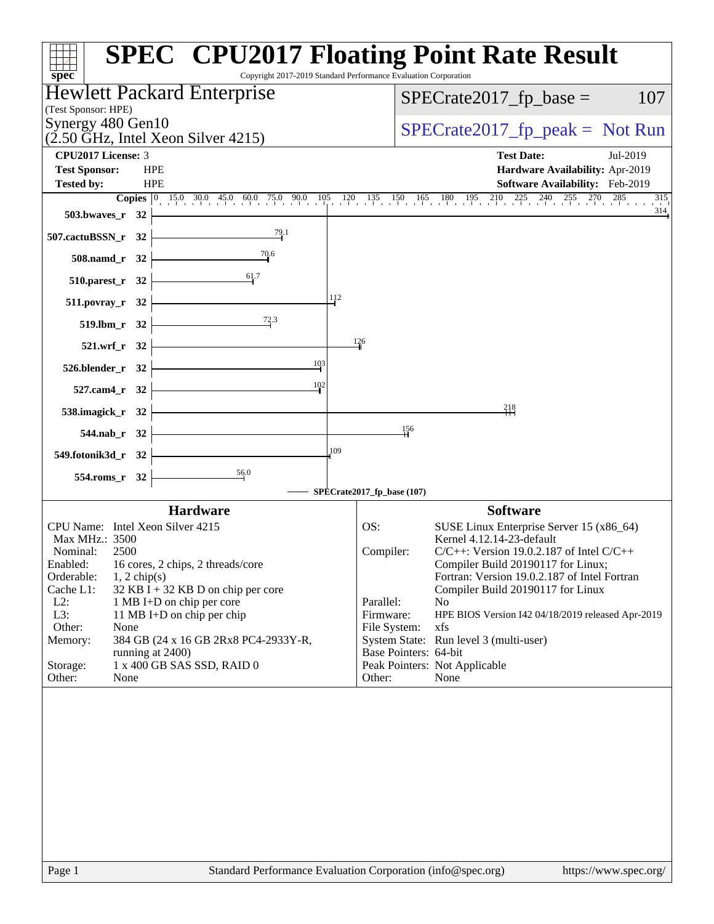| $spec^*$                                                                        | <b>SPEC<sup>®</sup> CPU2017 Floating Point Rate Result</b><br>Copyright 2017-2019 Standard Performance Evaluation Corporation                                               |
|---------------------------------------------------------------------------------|-----------------------------------------------------------------------------------------------------------------------------------------------------------------------------|
| <b>Hewlett Packard Enterprise</b>                                               | $SPECrate2017_fp\_base =$<br>107                                                                                                                                            |
| (Test Sponsor: HPE)                                                             |                                                                                                                                                                             |
| Synergy 480 Gen10<br>$(2.50 \text{ GHz}, \text{Intel Xeon Silver } 4215)$       | $SPECTate2017_fp\_peak = Not Run$                                                                                                                                           |
| CPU2017 License: 3                                                              | <b>Test Date:</b><br>Jul-2019                                                                                                                                               |
| <b>Test Sponsor:</b><br><b>HPE</b>                                              | Hardware Availability: Apr-2019                                                                                                                                             |
| <b>HPE</b><br><b>Tested by:</b>                                                 | <b>Software Availability:</b> Feb-2019                                                                                                                                      |
|                                                                                 | <b>Copies</b> $\begin{bmatrix} 0 & 15 & 030 & 45 & 060 & 75 & 90 & 105 & 120 & 135 & 150 & 165 & 180 & 195 & 210 & 225 & 240 & 255 & 270 & 285 \end{bmatrix}$<br>315<br>314 |
| $503.bwaves_r$ 32<br>79.1                                                       |                                                                                                                                                                             |
| 507.cactuBSSN_r 32                                                              |                                                                                                                                                                             |
| 508.namd_r 32<br>$510.parest_r$ 32                                              |                                                                                                                                                                             |
| 511.povray_r 32                                                                 | 112                                                                                                                                                                         |
| 72.3<br>519.lbm_r 32                                                            |                                                                                                                                                                             |
| 521.wrf_r 32                                                                    | 126                                                                                                                                                                         |
| 103<br>$526.blender_r 32$                                                       |                                                                                                                                                                             |
| 102<br>527.cam4_r 32                                                            |                                                                                                                                                                             |
| 538.imagick_r 32                                                                | 218                                                                                                                                                                         |
| 544.nab_r 32                                                                    | 156                                                                                                                                                                         |
| 549.fotonik3d_r 32                                                              | 109                                                                                                                                                                         |
| $\frac{56.0}{2}$<br>554.roms_r 32                                               |                                                                                                                                                                             |
|                                                                                 | SPECrate2017_fp_base (107)                                                                                                                                                  |
| <b>Hardware</b>                                                                 | <b>Software</b>                                                                                                                                                             |
| CPU Name: Intel Xeon Silver 4215                                                | SUSE Linux Enterprise Server 15 (x86_64)<br>OS:                                                                                                                             |
| Max MHz.: 3500<br>Nominal:<br>2500                                              | Kernel 4.12.14-23-default<br>$C/C++$ : Version 19.0.2.187 of Intel $C/C++$<br>Compiler:                                                                                     |
| Enabled:<br>16 cores, 2 chips, 2 threads/core                                   | Compiler Build 20190117 for Linux;                                                                                                                                          |
| Orderable:<br>$1, 2$ chip(s)<br>Cache L1:<br>32 KB I + 32 KB D on chip per core | Fortran: Version 19.0.2.187 of Intel Fortran<br>Compiler Build 20190117 for Linux                                                                                           |
| $L2$ :<br>1 MB I+D on chip per core                                             | Parallel:<br>N <sub>o</sub>                                                                                                                                                 |
| L3:<br>11 MB I+D on chip per chip                                               | Firmware:<br>HPE BIOS Version I42 04/18/2019 released Apr-2019                                                                                                              |
| Other:<br>None<br>Memory:<br>384 GB (24 x 16 GB 2Rx8 PC4-2933Y-R,               | File System:<br>xfs<br>System State: Run level 3 (multi-user)                                                                                                               |
| running at 2400)                                                                | Base Pointers: 64-bit                                                                                                                                                       |
| 1 x 400 GB SAS SSD, RAID 0<br>Storage:                                          | Peak Pointers: Not Applicable                                                                                                                                               |
| Other:<br>None                                                                  | Other:<br>None                                                                                                                                                              |
|                                                                                 |                                                                                                                                                                             |
|                                                                                 |                                                                                                                                                                             |
|                                                                                 |                                                                                                                                                                             |
|                                                                                 |                                                                                                                                                                             |
|                                                                                 |                                                                                                                                                                             |
|                                                                                 |                                                                                                                                                                             |
|                                                                                 |                                                                                                                                                                             |
|                                                                                 |                                                                                                                                                                             |
|                                                                                 |                                                                                                                                                                             |
| $\mathbf{p}_{\alpha\alpha\alpha}$ 1                                             | $Standard$ Performance Evaluation Corporation (info@spec.org)<br>http://www.                                                                                                |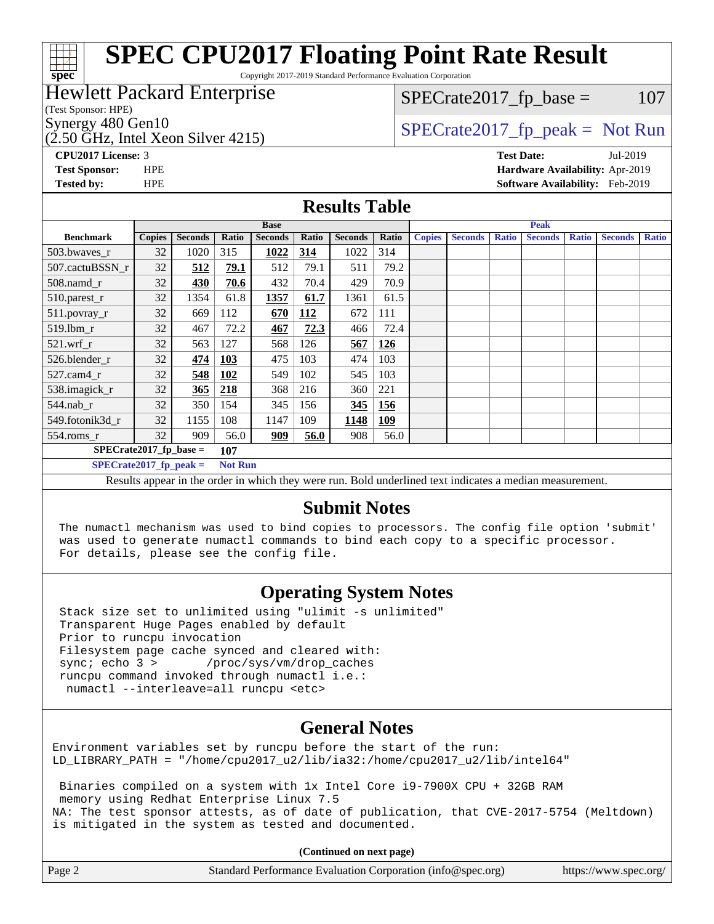# **[spec](http://www.spec.org/)**

# **[SPEC CPU2017 Floating Point Rate Result](http://www.spec.org/auto/cpu2017/Docs/result-fields.html#SPECCPU2017FloatingPointRateResult)**

Copyright 2017-2019 Standard Performance Evaluation Corporation

# Hewlett Packard Enterprise

(Test Sponsor: HPE)

(2.50 GHz, Intel Xeon Silver 4215)

 $SPECTate2017<sub>fr</sub> base = 107$ 

# Synergy 480 Gen10  $SPECrate2017$  fp\_peak = Not Run

**[CPU2017 License:](http://www.spec.org/auto/cpu2017/Docs/result-fields.html#CPU2017License)** 3 **[Test Date:](http://www.spec.org/auto/cpu2017/Docs/result-fields.html#TestDate)** Jul-2019 **[Test Sponsor:](http://www.spec.org/auto/cpu2017/Docs/result-fields.html#TestSponsor)** HPE **[Hardware Availability:](http://www.spec.org/auto/cpu2017/Docs/result-fields.html#HardwareAvailability)** Apr-2019 **[Tested by:](http://www.spec.org/auto/cpu2017/Docs/result-fields.html#Testedby)** HPE **[Software Availability:](http://www.spec.org/auto/cpu2017/Docs/result-fields.html#SoftwareAvailability)** Feb-2019

### **[Results Table](http://www.spec.org/auto/cpu2017/Docs/result-fields.html#ResultsTable)**

|                                            | <b>Base</b>   |                |       |                |            |                |            |               | <b>Peak</b>    |              |                |              |                |              |
|--------------------------------------------|---------------|----------------|-------|----------------|------------|----------------|------------|---------------|----------------|--------------|----------------|--------------|----------------|--------------|
| <b>Benchmark</b>                           | <b>Copies</b> | <b>Seconds</b> | Ratio | <b>Seconds</b> | Ratio      | <b>Seconds</b> | Ratio      | <b>Copies</b> | <b>Seconds</b> | <b>Ratio</b> | <b>Seconds</b> | <b>Ratio</b> | <b>Seconds</b> | <b>Ratio</b> |
| 503.bwayes_r                               | 32            | 1020           | 315   | 1022           | 314        | 1022           | 314        |               |                |              |                |              |                |              |
| 507.cactuBSSN r                            | 32            | 512            | 79.1  | 512            | 79.1       | 511            | 79.2       |               |                |              |                |              |                |              |
| $508$ .namd $_r$                           | 32            | 430            | 70.6  | 432            | 70.4       | 429            | 70.9       |               |                |              |                |              |                |              |
| 510.parest_r                               | 32            | 1354           | 61.8  | 1357           | 61.7       | 1361           | 61.5       |               |                |              |                |              |                |              |
| 511.povray_r                               | 32            | 669            | 112   | 670            | <b>112</b> | 672            | 111        |               |                |              |                |              |                |              |
| $519$ .lbm $r$                             | 32            | 467            | 72.2  | 467            | 72.3       | 466            | 72.4       |               |                |              |                |              |                |              |
| $521$ .wrf r                               | 32            | 563            | 127   | 568            | 126        | 567            | <b>126</b> |               |                |              |                |              |                |              |
| 526.blender r                              | 32            | 474            | 103   | 475            | 103        | 474            | 103        |               |                |              |                |              |                |              |
| $527$ .cam $4r$                            | 32            | 548            | 102   | 549            | 102        | 545            | 103        |               |                |              |                |              |                |              |
| 538.imagick_r                              | 32            | 365            | 218   | 368            | 216        | 360            | 221        |               |                |              |                |              |                |              |
| $544$ .nab_r                               | 32            | 350            | 154   | 345            | 156        | 345            | 156        |               |                |              |                |              |                |              |
| 549.fotonik3d r                            | 32            | 1155           | 108   | 1147           | 109        | 1148           | 109        |               |                |              |                |              |                |              |
| $554$ .roms_r                              | 32            | 909            | 56.0  | 909            | 56.0       | 908            | 56.0       |               |                |              |                |              |                |              |
| $SPECrate2017$ fp base =<br>107            |               |                |       |                |            |                |            |               |                |              |                |              |                |              |
| <b>Not Run</b><br>$SPECrate2017$ fp peak = |               |                |       |                |            |                |            |               |                |              |                |              |                |              |

Results appear in the [order in which they were run.](http://www.spec.org/auto/cpu2017/Docs/result-fields.html#RunOrder) Bold underlined text [indicates a median measurement.](http://www.spec.org/auto/cpu2017/Docs/result-fields.html#Median)

## **[Submit Notes](http://www.spec.org/auto/cpu2017/Docs/result-fields.html#SubmitNotes)**

 The numactl mechanism was used to bind copies to processors. The config file option 'submit' was used to generate numactl commands to bind each copy to a specific processor. For details, please see the config file.

# **[Operating System Notes](http://www.spec.org/auto/cpu2017/Docs/result-fields.html#OperatingSystemNotes)**

 Stack size set to unlimited using "ulimit -s unlimited" Transparent Huge Pages enabled by default Prior to runcpu invocation Filesystem page cache synced and cleared with: sync; echo 3 > /proc/sys/vm/drop\_caches runcpu command invoked through numactl i.e.: numactl --interleave=all runcpu <etc>

## **[General Notes](http://www.spec.org/auto/cpu2017/Docs/result-fields.html#GeneralNotes)**

Environment variables set by runcpu before the start of the run: LD\_LIBRARY\_PATH = "/home/cpu2017\_u2/lib/ia32:/home/cpu2017\_u2/lib/intel64"

 Binaries compiled on a system with 1x Intel Core i9-7900X CPU + 32GB RAM memory using Redhat Enterprise Linux 7.5 NA: The test sponsor attests, as of date of publication, that CVE-2017-5754 (Meltdown) is mitigated in the system as tested and documented.

**(Continued on next page)**

| Page 2<br>Standard Performance Evaluation Corporation (info@spec.org)<br>https://www.spec.org/ |
|------------------------------------------------------------------------------------------------|
|------------------------------------------------------------------------------------------------|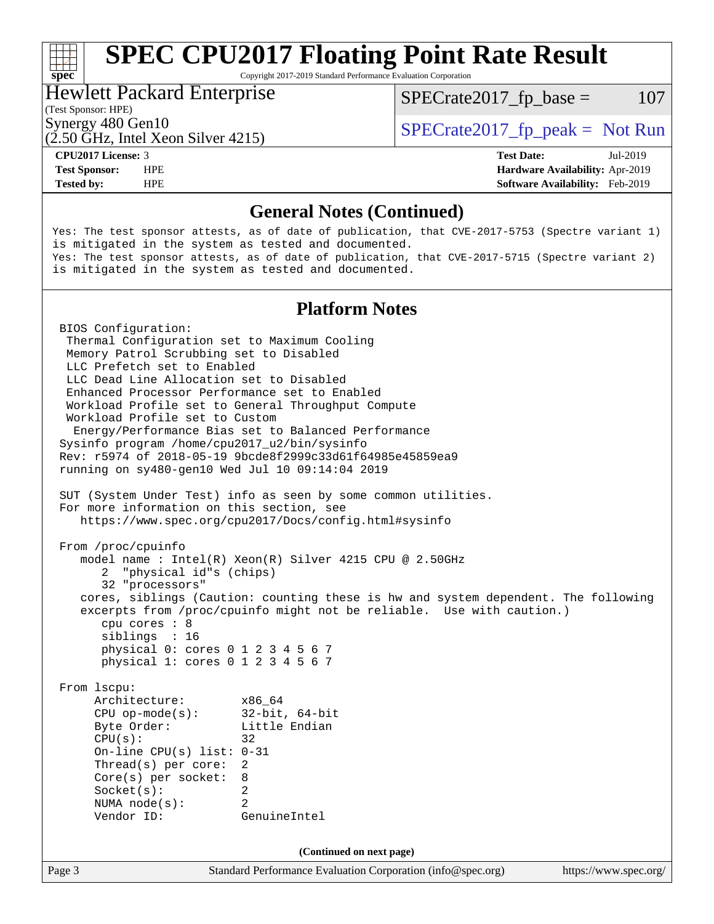# **[SPEC CPU2017 Floating Point Rate Result](http://www.spec.org/auto/cpu2017/Docs/result-fields.html#SPECCPU2017FloatingPointRateResult)**

Copyright 2017-2019 Standard Performance Evaluation Corporation

# Hewlett Packard Enterprise

 $SPECTate2017<sub>fr</sub> base = 107$ 

# (Test Sponsor: HPE)

(2.50 GHz, Intel Xeon Silver 4215)

Synergy 480 Gen10  $SPECrate2017$  fp\_peak = Not Run

**[spec](http://www.spec.org/)**<sup>®</sup>

**[Tested by:](http://www.spec.org/auto/cpu2017/Docs/result-fields.html#Testedby)** HPE **[Software Availability:](http://www.spec.org/auto/cpu2017/Docs/result-fields.html#SoftwareAvailability)** Feb-2019

**[CPU2017 License:](http://www.spec.org/auto/cpu2017/Docs/result-fields.html#CPU2017License)** 3 **[Test Date:](http://www.spec.org/auto/cpu2017/Docs/result-fields.html#TestDate)** Jul-2019 **[Test Sponsor:](http://www.spec.org/auto/cpu2017/Docs/result-fields.html#TestSponsor)** HPE **[Hardware Availability:](http://www.spec.org/auto/cpu2017/Docs/result-fields.html#HardwareAvailability)** Apr-2019

### **[General Notes \(Continued\)](http://www.spec.org/auto/cpu2017/Docs/result-fields.html#GeneralNotes)**

Yes: The test sponsor attests, as of date of publication, that CVE-2017-5753 (Spectre variant 1) is mitigated in the system as tested and documented. Yes: The test sponsor attests, as of date of publication, that CVE-2017-5715 (Spectre variant 2) is mitigated in the system as tested and documented.

## **[Platform Notes](http://www.spec.org/auto/cpu2017/Docs/result-fields.html#PlatformNotes)**

Page 3 Standard Performance Evaluation Corporation [\(info@spec.org\)](mailto:info@spec.org) <https://www.spec.org/> BIOS Configuration: Thermal Configuration set to Maximum Cooling Memory Patrol Scrubbing set to Disabled LLC Prefetch set to Enabled LLC Dead Line Allocation set to Disabled Enhanced Processor Performance set to Enabled Workload Profile set to General Throughput Compute Workload Profile set to Custom Energy/Performance Bias set to Balanced Performance Sysinfo program /home/cpu2017\_u2/bin/sysinfo Rev: r5974 of 2018-05-19 9bcde8f2999c33d61f64985e45859ea9 running on sy480-gen10 Wed Jul 10 09:14:04 2019 SUT (System Under Test) info as seen by some common utilities. For more information on this section, see <https://www.spec.org/cpu2017/Docs/config.html#sysinfo> From /proc/cpuinfo model name : Intel(R) Xeon(R) Silver 4215 CPU @ 2.50GHz 2 "physical id"s (chips) 32 "processors" cores, siblings (Caution: counting these is hw and system dependent. The following excerpts from /proc/cpuinfo might not be reliable. Use with caution.) cpu cores : 8 siblings : 16 physical 0: cores 0 1 2 3 4 5 6 7 physical 1: cores 0 1 2 3 4 5 6 7 From lscpu: Architecture: x86\_64 CPU op-mode(s): 32-bit, 64-bit Byte Order: Little Endian  $CPU(s):$  32 On-line CPU(s) list: 0-31 Thread(s) per core: 2 Core(s) per socket: 8 Socket(s): 2 NUMA node(s): 2 Vendor ID: GenuineIntel **(Continued on next page)**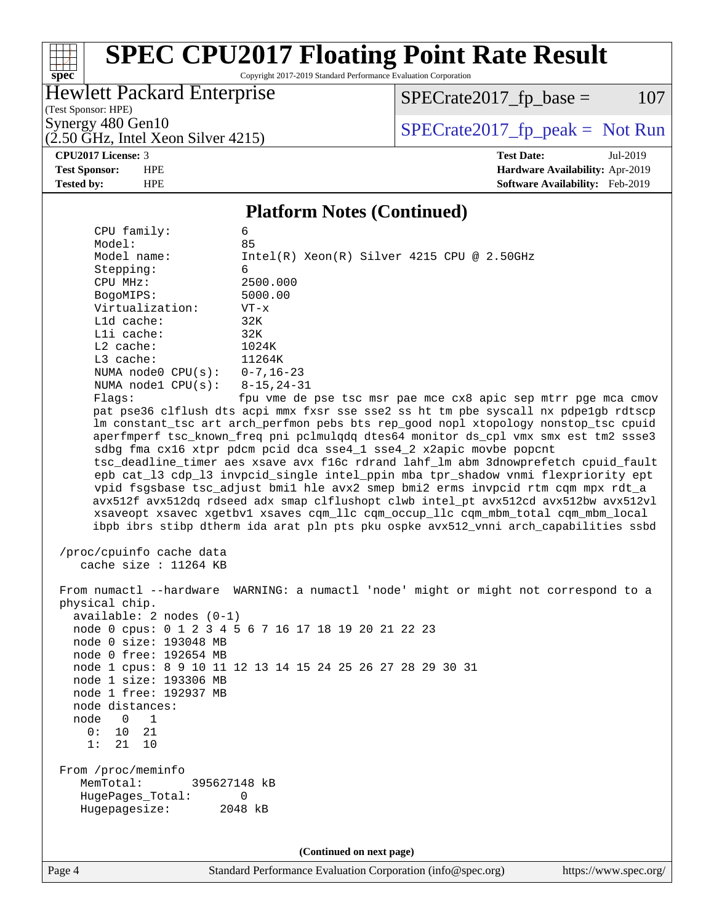# **[spec](http://www.spec.org/)**

# **[SPEC CPU2017 Floating Point Rate Result](http://www.spec.org/auto/cpu2017/Docs/result-fields.html#SPECCPU2017FloatingPointRateResult)**

Copyright 2017-2019 Standard Performance Evaluation Corporation

# Hewlett Packard Enterprise

 $SPECrate2017_fp\_base = 107$ 

(Test Sponsor: HPE)  $(2.50 \text{ GHz}, \text{Intel Xeon Silver } 4215)$ 

Synergy 480 Gen10<br>  $\begin{array}{c|c}\n\text{Specrate2017\_fp\_peak} = \text{Not Run} \\
\hline\n\text{Specrate2017\_fp\_peak} = \text{Not Run} \\
\end{array}$ 

**[CPU2017 License:](http://www.spec.org/auto/cpu2017/Docs/result-fields.html#CPU2017License)** 3 **[Test Date:](http://www.spec.org/auto/cpu2017/Docs/result-fields.html#TestDate)** Jul-2019 **[Test Sponsor:](http://www.spec.org/auto/cpu2017/Docs/result-fields.html#TestSponsor)** HPE **[Hardware Availability:](http://www.spec.org/auto/cpu2017/Docs/result-fields.html#HardwareAvailability)** Apr-2019 **[Tested by:](http://www.spec.org/auto/cpu2017/Docs/result-fields.html#Testedby)** HPE **[Software Availability:](http://www.spec.org/auto/cpu2017/Docs/result-fields.html#SoftwareAvailability)** Feb-2019

### **[Platform Notes \(Continued\)](http://www.spec.org/auto/cpu2017/Docs/result-fields.html#PlatformNotes)**

| CPU family:                                                                                                                                                                                               | 6                                                                                                                                                                                                          |
|-----------------------------------------------------------------------------------------------------------------------------------------------------------------------------------------------------------|------------------------------------------------------------------------------------------------------------------------------------------------------------------------------------------------------------|
| Model:                                                                                                                                                                                                    | 85                                                                                                                                                                                                         |
| Model name:                                                                                                                                                                                               | Intel(R) Xeon(R) Silver 4215 CPU @ 2.50GHz                                                                                                                                                                 |
| Stepping:                                                                                                                                                                                                 | 6                                                                                                                                                                                                          |
| CPU MHz:                                                                                                                                                                                                  | 2500.000                                                                                                                                                                                                   |
| BogoMIPS:                                                                                                                                                                                                 | 5000.00                                                                                                                                                                                                    |
| Virtualization:                                                                                                                                                                                           | $VT - x$                                                                                                                                                                                                   |
| L1d cache:                                                                                                                                                                                                | 32K                                                                                                                                                                                                        |
| Lli cache:                                                                                                                                                                                                | 32K                                                                                                                                                                                                        |
| $L2$ cache:                                                                                                                                                                                               | 1024K                                                                                                                                                                                                      |
| L3 cache:                                                                                                                                                                                                 | 11264K                                                                                                                                                                                                     |
| NUMA node0 $CPU(s): 0-7, 16-23$                                                                                                                                                                           |                                                                                                                                                                                                            |
| NUMA node1 CPU(s): 8-15, 24-31                                                                                                                                                                            |                                                                                                                                                                                                            |
| Flags:                                                                                                                                                                                                    | fpu vme de pse tsc msr pae mce cx8 apic sep mtrr pge mca cmov                                                                                                                                              |
|                                                                                                                                                                                                           | pat pse36 clflush dts acpi mmx fxsr sse sse2 ss ht tm pbe syscall nx pdpe1gb rdtscp                                                                                                                        |
|                                                                                                                                                                                                           | lm constant_tsc art arch_perfmon pebs bts rep_good nopl xtopology nonstop_tsc cpuid                                                                                                                        |
|                                                                                                                                                                                                           | aperfmperf tsc_known_freq pni pclmulqdq dtes64 monitor ds_cpl vmx smx est tm2 ssse3                                                                                                                        |
|                                                                                                                                                                                                           | sdbg fma cx16 xtpr pdcm pcid dca sse4_1 sse4_2 x2apic movbe popcnt                                                                                                                                         |
|                                                                                                                                                                                                           | tsc_deadline_timer aes xsave avx f16c rdrand lahf_lm abm 3dnowprefetch cpuid_fault                                                                                                                         |
|                                                                                                                                                                                                           | epb cat_13 cdp_13 invpcid_single intel_ppin mba tpr_shadow vnmi flexpriority ept                                                                                                                           |
|                                                                                                                                                                                                           | vpid fsgsbase tsc_adjust bmil hle avx2 smep bmi2 erms invpcid rtm cqm mpx rdt_a                                                                                                                            |
|                                                                                                                                                                                                           | avx512f avx512dq rdseed adx smap clflushopt clwb intel_pt avx512cd avx512bw avx512vl                                                                                                                       |
|                                                                                                                                                                                                           | xsaveopt xsavec xgetbvl xsaves cqm_llc cqm_occup_llc cqm_mbm_total cqm_mbm_local                                                                                                                           |
|                                                                                                                                                                                                           | ibpb ibrs stibp dtherm ida arat pln pts pku ospke avx512_vnni arch_capabilities ssbd                                                                                                                       |
| /proc/cpuinfo cache data<br>cache size : 11264 KB<br>physical chip.<br>$available: 2 nodes (0-1)$<br>node 0 size: 193048 MB<br>node 0 free: 192654 MB<br>node 1 size: 193306 MB<br>node 1 free: 192937 MB | From numactl --hardware WARNING: a numactl 'node' might or might not correspond to a<br>node 0 cpus: 0 1 2 3 4 5 6 7 16 17 18 19 20 21 22 23<br>node 1 cpus: 8 9 10 11 12 13 14 15 24 25 26 27 28 29 30 31 |
| node distances:                                                                                                                                                                                           |                                                                                                                                                                                                            |
| $\mathbf 0$<br>$\mathbf 1$<br>node                                                                                                                                                                        |                                                                                                                                                                                                            |
| 10<br>21<br>0 :                                                                                                                                                                                           |                                                                                                                                                                                                            |
| 1:<br>21<br>10                                                                                                                                                                                            |                                                                                                                                                                                                            |
| From /proc/meminfo<br>MemTotal:<br>395627148 kB<br>HugePages_Total:<br>Hugepagesize:                                                                                                                      | 0<br>2048 kB                                                                                                                                                                                               |
|                                                                                                                                                                                                           |                                                                                                                                                                                                            |
|                                                                                                                                                                                                           |                                                                                                                                                                                                            |
|                                                                                                                                                                                                           | (Continued on next page)                                                                                                                                                                                   |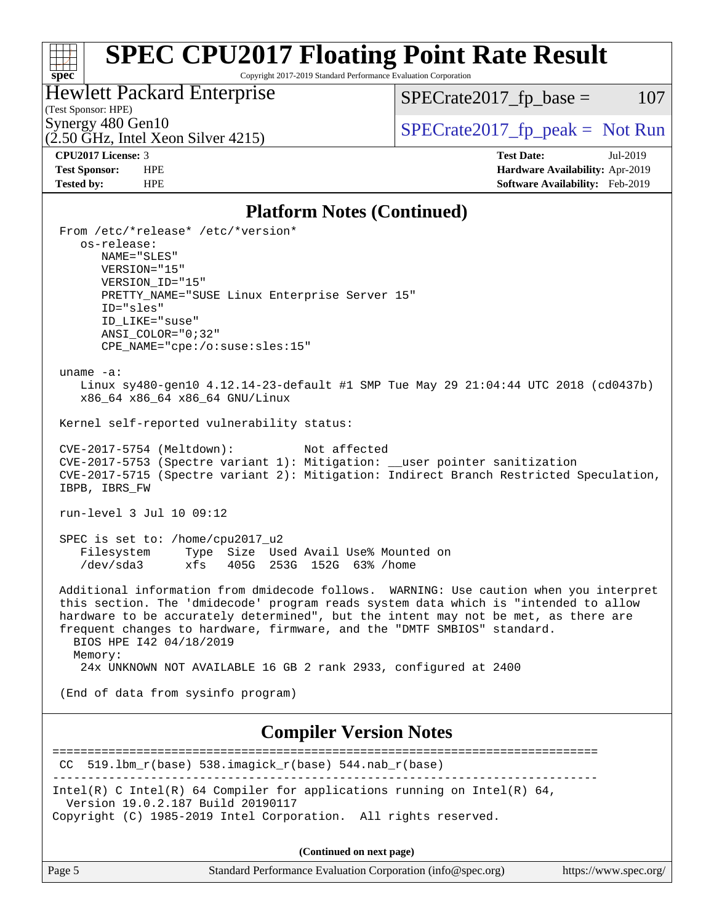# **[SPEC CPU2017 Floating Point Rate Result](http://www.spec.org/auto/cpu2017/Docs/result-fields.html#SPECCPU2017FloatingPointRateResult)**

Copyright 2017-2019 Standard Performance Evaluation Corporation

Hewlett Packard Enterprise

 $SPECrate2017_fp\_base = 107$ 

# (Test Sponsor: HPE)

 $(2.50 \text{ GHz}, \text{Intel Xeon Silver } 4215)$ 

Synergy 480 Gen10<br>  $\begin{array}{c|c}\n\text{Specrate2017\_fp\_peak} = \text{Not Run} \\
\hline\n\text{Specrate2017\_fp\_peak} = \text{Not Run} \\
\end{array}$ 

**[spec](http://www.spec.org/)**

**[CPU2017 License:](http://www.spec.org/auto/cpu2017/Docs/result-fields.html#CPU2017License)** 3 **[Test Date:](http://www.spec.org/auto/cpu2017/Docs/result-fields.html#TestDate)** Jul-2019 **[Test Sponsor:](http://www.spec.org/auto/cpu2017/Docs/result-fields.html#TestSponsor)** HPE **[Hardware Availability:](http://www.spec.org/auto/cpu2017/Docs/result-fields.html#HardwareAvailability)** Apr-2019 **[Tested by:](http://www.spec.org/auto/cpu2017/Docs/result-fields.html#Testedby)** HPE **[Software Availability:](http://www.spec.org/auto/cpu2017/Docs/result-fields.html#SoftwareAvailability)** Feb-2019

### **[Platform Notes \(Continued\)](http://www.spec.org/auto/cpu2017/Docs/result-fields.html#PlatformNotes)**

| 1 iaitor in 1 voics (Continueu)                                                                                                                                                                                                                                                                                                                                                      |
|--------------------------------------------------------------------------------------------------------------------------------------------------------------------------------------------------------------------------------------------------------------------------------------------------------------------------------------------------------------------------------------|
| From /etc/*release* /etc/*version*<br>os-release:                                                                                                                                                                                                                                                                                                                                    |
| NAME="SLES"<br>VERSION="15"                                                                                                                                                                                                                                                                                                                                                          |
| VERSION_ID="15"<br>PRETTY_NAME="SUSE Linux Enterprise Server 15"                                                                                                                                                                                                                                                                                                                     |
| ID="sles"<br>ID LIKE="suse"                                                                                                                                                                                                                                                                                                                                                          |
| $ANSI$ _COLOR="0;32"<br>CPE_NAME="cpe:/o:suse:sles:15"                                                                                                                                                                                                                                                                                                                               |
| uname $-a$ :<br>Linux sy480-gen10 4.12.14-23-default #1 SMP Tue May 29 21:04:44 UTC 2018 (cd0437b)<br>x86_64 x86_64 x86_64 GNU/Linux                                                                                                                                                                                                                                                 |
| Kernel self-reported vulnerability status:                                                                                                                                                                                                                                                                                                                                           |
| CVE-2017-5754 (Meltdown):<br>Not affected<br>CVE-2017-5753 (Spectre variant 1): Mitigation: __user pointer sanitization<br>CVE-2017-5715 (Spectre variant 2): Mitigation: Indirect Branch Restricted Speculation,<br>IBPB, IBRS_FW                                                                                                                                                   |
| run-level 3 Jul 10 09:12                                                                                                                                                                                                                                                                                                                                                             |
| SPEC is set to: /home/cpu2017_u2<br>Filesystem Type Size Used Avail Use% Mounted on<br>/dev/sda3<br>xfs 405G 253G 152G 63% / home                                                                                                                                                                                                                                                    |
| Additional information from dmidecode follows. WARNING: Use caution when you interpret<br>this section. The 'dmidecode' program reads system data which is "intended to allow<br>hardware to be accurately determined", but the intent may not be met, as there are<br>frequent changes to hardware, firmware, and the "DMTF SMBIOS" standard.<br>BIOS HPE 142 04/18/2019<br>Memory: |
| 24x UNKNOWN NOT AVAILABLE 16 GB 2 rank 2933, configured at 2400                                                                                                                                                                                                                                                                                                                      |
| (End of data from sysinfo program)                                                                                                                                                                                                                                                                                                                                                   |
| <b>Compiler Version Notes</b>                                                                                                                                                                                                                                                                                                                                                        |
| 519.1bm_r(base) 538.imagick_r(base) 544.nab_r(base)<br>CC.                                                                                                                                                                                                                                                                                                                           |
| Intel(R) C Intel(R) 64 Compiler for applications running on Intel(R) 64,<br>Version 19.0.2.187 Build 20190117                                                                                                                                                                                                                                                                        |
| Copyright (C) 1985-2019 Intel Corporation. All rights reserved.                                                                                                                                                                                                                                                                                                                      |
| (Continued on next page)                                                                                                                                                                                                                                                                                                                                                             |

Page 5 Standard Performance Evaluation Corporation [\(info@spec.org\)](mailto:info@spec.org) <https://www.spec.org/>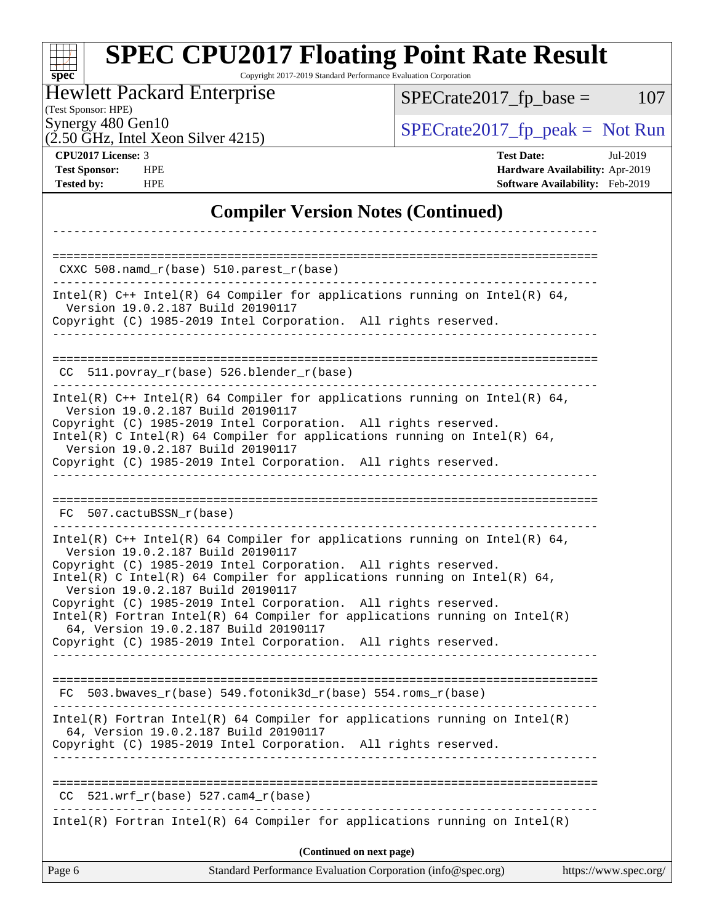### **[spec](http://www.spec.org/) [SPEC CPU2017 Floating Point Rate Result](http://www.spec.org/auto/cpu2017/Docs/result-fields.html#SPECCPU2017FloatingPointRateResult)** Copyright 2017-2019 Standard Performance Evaluation Corporation

Hewlett Packard Enterprise

 $SPECrate2017_fp\_base = 107$ 

(Test Sponsor: HPE)

Synergy 480 Gen10<br>  $\begin{array}{c|c}\n\text{Specrate2017\_fp\_peak} = \text{Not Run} \\
\hline\n\text{Specrate2017\_fp\_peak} = \text{Not Run} \\
\end{array}$ 

 $(2.50 \text{ GHz}, \text{Intel Xeon Silver } 4215)$ 

**[CPU2017 License:](http://www.spec.org/auto/cpu2017/Docs/result-fields.html#CPU2017License)** 3 **[Test Date:](http://www.spec.org/auto/cpu2017/Docs/result-fields.html#TestDate)** Jul-2019 **[Test Sponsor:](http://www.spec.org/auto/cpu2017/Docs/result-fields.html#TestSponsor)** HPE **[Hardware Availability:](http://www.spec.org/auto/cpu2017/Docs/result-fields.html#HardwareAvailability)** Apr-2019 **[Tested by:](http://www.spec.org/auto/cpu2017/Docs/result-fields.html#Testedby)** HPE **[Software Availability:](http://www.spec.org/auto/cpu2017/Docs/result-fields.html#SoftwareAvailability)** Feb-2019

# **[Compiler Version Notes \(Continued\)](http://www.spec.org/auto/cpu2017/Docs/result-fields.html#CompilerVersionNotes)**

| Page 6                   | Standard Performance Evaluation Corporation (info@spec.org)                                                                                                                                                                                                      | https://www.spec.org/ |
|--------------------------|------------------------------------------------------------------------------------------------------------------------------------------------------------------------------------------------------------------------------------------------------------------|-----------------------|
|                          | (Continued on next page)                                                                                                                                                                                                                                         |                       |
|                          | $Intel(R)$ Fortran Intel(R) 64 Compiler for applications running on Intel(R)                                                                                                                                                                                     |                       |
| CC                       | $521.wrf_r(base) 527.cam4_r(base)$                                                                                                                                                                                                                               |                       |
|                          | Copyright (C) 1985-2019 Intel Corporation. All rights reserved.                                                                                                                                                                                                  |                       |
|                          | $Intel(R)$ Fortran Intel(R) 64 Compiler for applications running on Intel(R)<br>64, Version 19.0.2.187 Build 20190117                                                                                                                                            |                       |
|                          | FC 503.bwaves $r(base)$ 549.fotonik3d $r(base)$ 554.roms $r(base)$                                                                                                                                                                                               |                       |
|                          | 64, Version 19.0.2.187 Build 20190117<br>Copyright (C) 1985-2019 Intel Corporation. All rights reserved.<br>________________________________                                                                                                                     |                       |
|                          | Intel(R) C Intel(R) 64 Compiler for applications running on Intel(R) 64,<br>Version 19.0.2.187 Build 20190117<br>Copyright (C) 1985-2019 Intel Corporation. All rights reserved.<br>$Intel(R)$ Fortran Intel(R) 64 Compiler for applications running on Intel(R) |                       |
|                          | Intel(R) $C++$ Intel(R) 64 Compiler for applications running on Intel(R) 64,<br>Version 19.0.2.187 Build 20190117<br>Copyright (C) 1985-2019 Intel Corporation. All rights reserved.                                                                             |                       |
| FC 507.cactuBSSN r(base) |                                                                                                                                                                                                                                                                  |                       |
|                          |                                                                                                                                                                                                                                                                  |                       |
|                          | Version 19.0.2.187 Build 20190117<br>Copyright (C) 1985-2019 Intel Corporation. All rights reserved.                                                                                                                                                             |                       |
|                          | Version 19.0.2.187 Build 20190117<br>Copyright (C) 1985-2019 Intel Corporation. All rights reserved.<br>Intel(R) C Intel(R) 64 Compiler for applications running on Intel(R) 64,                                                                                 |                       |
|                          | Intel(R) $C++$ Intel(R) 64 Compiler for applications running on Intel(R) 64,                                                                                                                                                                                     |                       |
|                          | $CC$ 511.povray_r(base) 526.blender_r(base)                                                                                                                                                                                                                      |                       |
|                          | Version 19.0.2.187 Build 20190117<br>Copyright (C) 1985-2019 Intel Corporation. All rights reserved.                                                                                                                                                             |                       |
|                          | Intel(R) $C++$ Intel(R) 64 Compiler for applications running on Intel(R) 64,                                                                                                                                                                                     |                       |
|                          | $CXXC 508.namd_r(base) 510.parest_r(base)$                                                                                                                                                                                                                       |                       |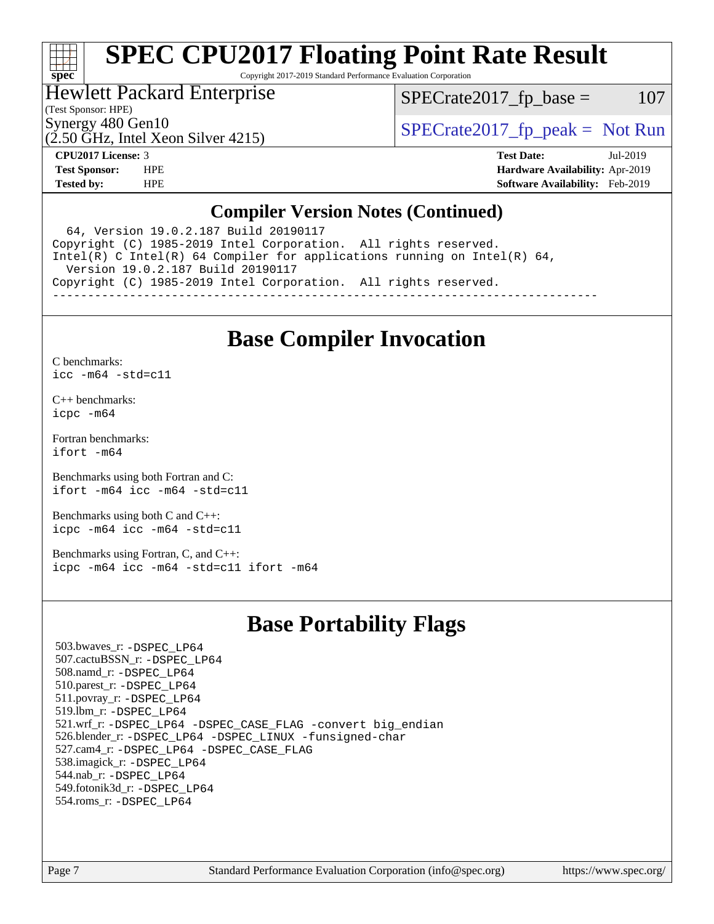## H F **[spec](http://www.spec.org/)**

# **[SPEC CPU2017 Floating Point Rate Result](http://www.spec.org/auto/cpu2017/Docs/result-fields.html#SPECCPU2017FloatingPointRateResult)**

Copyright 2017-2019 Standard Performance Evaluation Corporation

# Hewlett Packard Enterprise

 $SPECTate2017<sub>fr</sub> base = 107$ 

# (Test Sponsor: HPE)

(2.50 GHz, Intel Xeon Silver 4215)

Synergy 480 Gen10  $S^{perg}$  [SPECrate2017\\_fp\\_peak =](http://www.spec.org/auto/cpu2017/Docs/result-fields.html#SPECrate2017fppeak) Not Run

**[CPU2017 License:](http://www.spec.org/auto/cpu2017/Docs/result-fields.html#CPU2017License)** 3 **[Test Date:](http://www.spec.org/auto/cpu2017/Docs/result-fields.html#TestDate)** Jul-2019 **[Test Sponsor:](http://www.spec.org/auto/cpu2017/Docs/result-fields.html#TestSponsor)** HPE **[Hardware Availability:](http://www.spec.org/auto/cpu2017/Docs/result-fields.html#HardwareAvailability)** Apr-2019 **[Tested by:](http://www.spec.org/auto/cpu2017/Docs/result-fields.html#Testedby)** HPE **[Software Availability:](http://www.spec.org/auto/cpu2017/Docs/result-fields.html#SoftwareAvailability)** Feb-2019

## **[Compiler Version Notes \(Continued\)](http://www.spec.org/auto/cpu2017/Docs/result-fields.html#CompilerVersionNotes)**

 64, Version 19.0.2.187 Build 20190117 Copyright (C) 1985-2019 Intel Corporation. All rights reserved. Intel(R) C Intel(R) 64 Compiler for applications running on Intel(R) 64, Version 19.0.2.187 Build 20190117 Copyright (C) 1985-2019 Intel Corporation. All rights reserved. ------------------------------------------------------------------------------

# **[Base Compiler Invocation](http://www.spec.org/auto/cpu2017/Docs/result-fields.html#BaseCompilerInvocation)**

[C benchmarks](http://www.spec.org/auto/cpu2017/Docs/result-fields.html#Cbenchmarks):

[icc -m64 -std=c11](http://www.spec.org/cpu2017/results/res2019q3/cpu2017-20190723-16370.flags.html#user_CCbase_intel_icc_64bit_c11_33ee0cdaae7deeeab2a9725423ba97205ce30f63b9926c2519791662299b76a0318f32ddfffdc46587804de3178b4f9328c46fa7c2b0cd779d7a61945c91cd35)

[C++ benchmarks:](http://www.spec.org/auto/cpu2017/Docs/result-fields.html#CXXbenchmarks) [icpc -m64](http://www.spec.org/cpu2017/results/res2019q3/cpu2017-20190723-16370.flags.html#user_CXXbase_intel_icpc_64bit_4ecb2543ae3f1412ef961e0650ca070fec7b7afdcd6ed48761b84423119d1bf6bdf5cad15b44d48e7256388bc77273b966e5eb805aefd121eb22e9299b2ec9d9)

[Fortran benchmarks](http://www.spec.org/auto/cpu2017/Docs/result-fields.html#Fortranbenchmarks): [ifort -m64](http://www.spec.org/cpu2017/results/res2019q3/cpu2017-20190723-16370.flags.html#user_FCbase_intel_ifort_64bit_24f2bb282fbaeffd6157abe4f878425411749daecae9a33200eee2bee2fe76f3b89351d69a8130dd5949958ce389cf37ff59a95e7a40d588e8d3a57e0c3fd751)

[Benchmarks using both Fortran and C](http://www.spec.org/auto/cpu2017/Docs/result-fields.html#BenchmarksusingbothFortranandC): [ifort -m64](http://www.spec.org/cpu2017/results/res2019q3/cpu2017-20190723-16370.flags.html#user_CC_FCbase_intel_ifort_64bit_24f2bb282fbaeffd6157abe4f878425411749daecae9a33200eee2bee2fe76f3b89351d69a8130dd5949958ce389cf37ff59a95e7a40d588e8d3a57e0c3fd751) [icc -m64 -std=c11](http://www.spec.org/cpu2017/results/res2019q3/cpu2017-20190723-16370.flags.html#user_CC_FCbase_intel_icc_64bit_c11_33ee0cdaae7deeeab2a9725423ba97205ce30f63b9926c2519791662299b76a0318f32ddfffdc46587804de3178b4f9328c46fa7c2b0cd779d7a61945c91cd35)

[Benchmarks using both C and C++](http://www.spec.org/auto/cpu2017/Docs/result-fields.html#BenchmarksusingbothCandCXX): [icpc -m64](http://www.spec.org/cpu2017/results/res2019q3/cpu2017-20190723-16370.flags.html#user_CC_CXXbase_intel_icpc_64bit_4ecb2543ae3f1412ef961e0650ca070fec7b7afdcd6ed48761b84423119d1bf6bdf5cad15b44d48e7256388bc77273b966e5eb805aefd121eb22e9299b2ec9d9) [icc -m64 -std=c11](http://www.spec.org/cpu2017/results/res2019q3/cpu2017-20190723-16370.flags.html#user_CC_CXXbase_intel_icc_64bit_c11_33ee0cdaae7deeeab2a9725423ba97205ce30f63b9926c2519791662299b76a0318f32ddfffdc46587804de3178b4f9328c46fa7c2b0cd779d7a61945c91cd35)

[Benchmarks using Fortran, C, and C++:](http://www.spec.org/auto/cpu2017/Docs/result-fields.html#BenchmarksusingFortranCandCXX) [icpc -m64](http://www.spec.org/cpu2017/results/res2019q3/cpu2017-20190723-16370.flags.html#user_CC_CXX_FCbase_intel_icpc_64bit_4ecb2543ae3f1412ef961e0650ca070fec7b7afdcd6ed48761b84423119d1bf6bdf5cad15b44d48e7256388bc77273b966e5eb805aefd121eb22e9299b2ec9d9) [icc -m64 -std=c11](http://www.spec.org/cpu2017/results/res2019q3/cpu2017-20190723-16370.flags.html#user_CC_CXX_FCbase_intel_icc_64bit_c11_33ee0cdaae7deeeab2a9725423ba97205ce30f63b9926c2519791662299b76a0318f32ddfffdc46587804de3178b4f9328c46fa7c2b0cd779d7a61945c91cd35) [ifort -m64](http://www.spec.org/cpu2017/results/res2019q3/cpu2017-20190723-16370.flags.html#user_CC_CXX_FCbase_intel_ifort_64bit_24f2bb282fbaeffd6157abe4f878425411749daecae9a33200eee2bee2fe76f3b89351d69a8130dd5949958ce389cf37ff59a95e7a40d588e8d3a57e0c3fd751)

# **[Base Portability Flags](http://www.spec.org/auto/cpu2017/Docs/result-fields.html#BasePortabilityFlags)**

 503.bwaves\_r: [-DSPEC\\_LP64](http://www.spec.org/cpu2017/results/res2019q3/cpu2017-20190723-16370.flags.html#suite_basePORTABILITY503_bwaves_r_DSPEC_LP64) 507.cactuBSSN\_r: [-DSPEC\\_LP64](http://www.spec.org/cpu2017/results/res2019q3/cpu2017-20190723-16370.flags.html#suite_basePORTABILITY507_cactuBSSN_r_DSPEC_LP64) 508.namd\_r: [-DSPEC\\_LP64](http://www.spec.org/cpu2017/results/res2019q3/cpu2017-20190723-16370.flags.html#suite_basePORTABILITY508_namd_r_DSPEC_LP64) 510.parest\_r: [-DSPEC\\_LP64](http://www.spec.org/cpu2017/results/res2019q3/cpu2017-20190723-16370.flags.html#suite_basePORTABILITY510_parest_r_DSPEC_LP64) 511.povray\_r: [-DSPEC\\_LP64](http://www.spec.org/cpu2017/results/res2019q3/cpu2017-20190723-16370.flags.html#suite_basePORTABILITY511_povray_r_DSPEC_LP64) 519.lbm\_r: [-DSPEC\\_LP64](http://www.spec.org/cpu2017/results/res2019q3/cpu2017-20190723-16370.flags.html#suite_basePORTABILITY519_lbm_r_DSPEC_LP64) 521.wrf\_r: [-DSPEC\\_LP64](http://www.spec.org/cpu2017/results/res2019q3/cpu2017-20190723-16370.flags.html#suite_basePORTABILITY521_wrf_r_DSPEC_LP64) [-DSPEC\\_CASE\\_FLAG](http://www.spec.org/cpu2017/results/res2019q3/cpu2017-20190723-16370.flags.html#b521.wrf_r_baseCPORTABILITY_DSPEC_CASE_FLAG) [-convert big\\_endian](http://www.spec.org/cpu2017/results/res2019q3/cpu2017-20190723-16370.flags.html#user_baseFPORTABILITY521_wrf_r_convert_big_endian_c3194028bc08c63ac5d04de18c48ce6d347e4e562e8892b8bdbdc0214820426deb8554edfa529a3fb25a586e65a3d812c835984020483e7e73212c4d31a38223) 526.blender\_r: [-DSPEC\\_LP64](http://www.spec.org/cpu2017/results/res2019q3/cpu2017-20190723-16370.flags.html#suite_basePORTABILITY526_blender_r_DSPEC_LP64) [-DSPEC\\_LINUX](http://www.spec.org/cpu2017/results/res2019q3/cpu2017-20190723-16370.flags.html#b526.blender_r_baseCPORTABILITY_DSPEC_LINUX) [-funsigned-char](http://www.spec.org/cpu2017/results/res2019q3/cpu2017-20190723-16370.flags.html#user_baseCPORTABILITY526_blender_r_force_uchar_40c60f00ab013830e2dd6774aeded3ff59883ba5a1fc5fc14077f794d777847726e2a5858cbc7672e36e1b067e7e5c1d9a74f7176df07886a243d7cc18edfe67) 527.cam4\_r: [-DSPEC\\_LP64](http://www.spec.org/cpu2017/results/res2019q3/cpu2017-20190723-16370.flags.html#suite_basePORTABILITY527_cam4_r_DSPEC_LP64) [-DSPEC\\_CASE\\_FLAG](http://www.spec.org/cpu2017/results/res2019q3/cpu2017-20190723-16370.flags.html#b527.cam4_r_baseCPORTABILITY_DSPEC_CASE_FLAG) 538.imagick\_r: [-DSPEC\\_LP64](http://www.spec.org/cpu2017/results/res2019q3/cpu2017-20190723-16370.flags.html#suite_basePORTABILITY538_imagick_r_DSPEC_LP64) 544.nab\_r: [-DSPEC\\_LP64](http://www.spec.org/cpu2017/results/res2019q3/cpu2017-20190723-16370.flags.html#suite_basePORTABILITY544_nab_r_DSPEC_LP64) 549.fotonik3d\_r: [-DSPEC\\_LP64](http://www.spec.org/cpu2017/results/res2019q3/cpu2017-20190723-16370.flags.html#suite_basePORTABILITY549_fotonik3d_r_DSPEC_LP64) 554.roms\_r: [-DSPEC\\_LP64](http://www.spec.org/cpu2017/results/res2019q3/cpu2017-20190723-16370.flags.html#suite_basePORTABILITY554_roms_r_DSPEC_LP64)